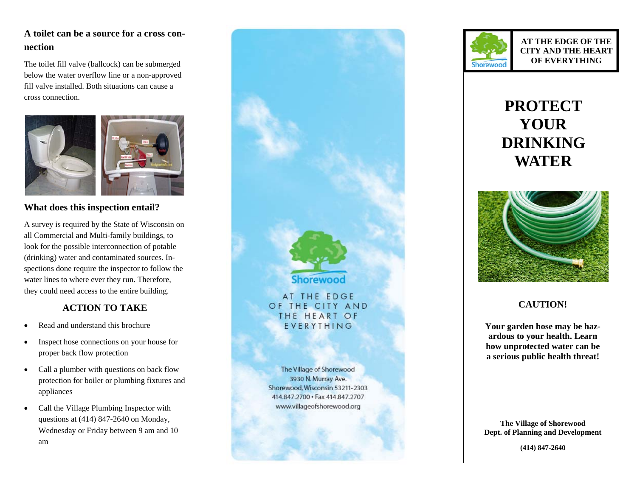## **A toilet can be a source for a cross connection**

The toilet fill valve (ballcock) can be submerged below the water overflow line or a non-approved fill valve installed. Both situations can cause a cross connection.



#### **What does this inspection entail?**

A survey is required by the State of Wisconsin on all Commercial and Multi-family buildings, to look for the possible interconnection of potable (drinking) water and contaminated sources. Inspections done require the inspector to follow the water lines to where ever they run. Therefore, they could need access to the entire building.

### **ACTION TO TAKE**

- Read and understand this brochure
- Inspect hose connections on your house for proper back flow protection
- Call a plumber with questions on back flow protection for boiler or plumbing fixtures and appliances
- Call the Village Plumbing Inspector with questions at (414) 847-2640 on Monday, Wednesday or Friday between 9 am and 10 am





**AT THE EDGE OF THE CITY AND THE HEART OF EVERYTHING** 

# **PROTECT YOUR DRINKING WATER**



## **CAUTION!**

**Your garden hose may be hazardous to your health. Learn how unprotected water can be a serious public health threat!** 

**The Village of Shorewood Dept. of Planning and Development** 

**(414) 847-2640**